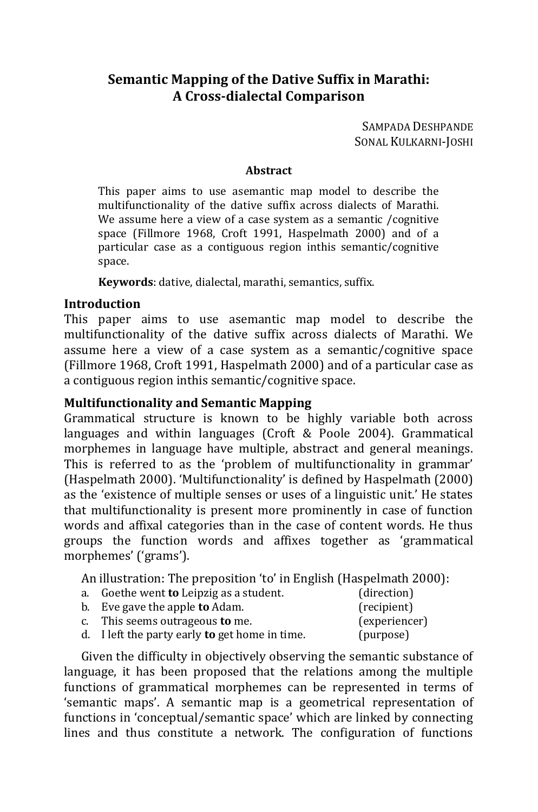# **Semantic Mapping of the Dative Suffix in Marathi: A Cross-dialectal Comparison**

SAMPADA DESHPANDE SONAL KULKARNI-JOSHI

#### **Abstract**

This paper aims to use asemantic map model to describe the multifunctionality of the dative suffix across dialects of Marathi. We assume here a view of a case system as a semantic / cognitive space (Fillmore 1968, Croft 1991, Haspelmath 2000) and of a particular case as a contiguous region inthis semantic/cognitive space.

**Keywords**: dative, dialectal, marathi, semantics, suffix.

#### **Introduction**

This paper aims to use asemantic map model to describe the multifunctionality of the dative suffix across dialects of Marathi. We assume here a view of a case system as a semantic/cognitive space (Fillmore 1968, Croft 1991, Haspelmath 2000) and of a particular case as a contiguous region inthis semantic/cognitive space.

#### **Multifunctionality and Semantic Mapping**

Grammatical structure is known to be highly variable both across languages and within languages (Croft & Poole 2004). Grammatical morphemes in language have multiple, abstract and general meanings. This is referred to as the 'problem of multifunctionality in grammar' (Haspelmath 2000). 'Multifunctionality' is defined by Haspelmath (2000) as the 'existence of multiple senses or uses of a linguistic unit.' He states that multifunctionality is present more prominently in case of function words and affixal categories than in the case of content words. He thus groups the function words and affixes together as 'grammatical morphemes' ('grams').

An illustration: The preposition 'to' in English (Haspelmath 2000):

- a. Goethe went **to** Leipzig as a student. (direction)
- b. Eve gave the apple **to** Adam. (recipient)
- c. This seems outrageous **to** me. (experiencer)
- d. I left the party early **to** get home in time. (purpose)

Given the difficulty in objectively observing the semantic substance of language, it has been proposed that the relations among the multiple functions of grammatical morphemes can be represented in terms of 'semantic maps'. A semantic map is a geometrical representation of functions in 'conceptual/semantic space' which are linked by connecting lines and thus constitute a network. The configuration of functions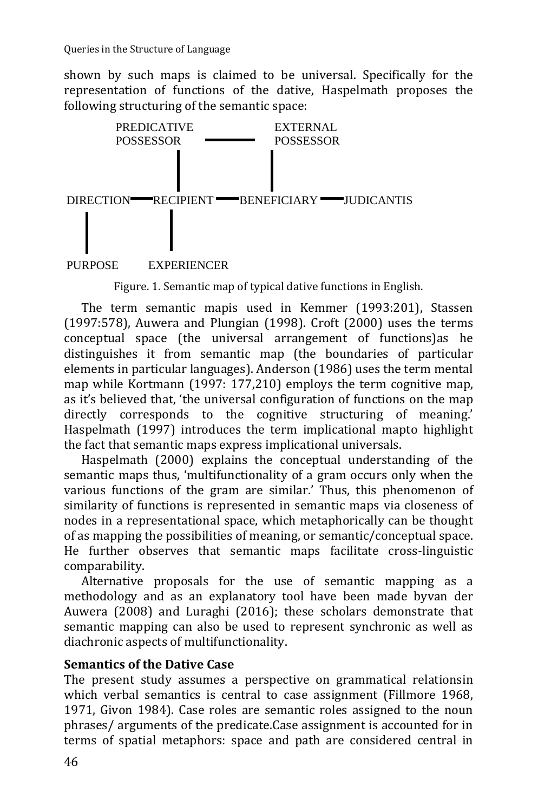shown by such maps is claimed to be universal. Specifically for the representation of functions of the dative, Haspelmath proposes the following structuring of the semantic space:



#### PURPOSE EXPERIENCER

Figure. 1. Semantic map of typical dative functions in English.

The term semantic mapis used in Kemmer (1993:201), Stassen (1997:578), Auwera and Plungian (1998). Croft (2000) uses the terms conceptual space (the universal arrangement of functions)as he distinguishes it from semantic map (the boundaries of particular elements in particular languages). Anderson (1986) uses the term mental map while Kortmann (1997: 177,210) employs the term cognitive map, as it's believed that, 'the universal configuration of functions on the map directly corresponds to the cognitive structuring of meaning.' Haspelmath (1997) introduces the term implicational mapto highlight the fact that semantic maps express implicational universals.

Haspelmath (2000) explains the conceptual understanding of the semantic maps thus, 'multifunctionality of a gram occurs only when the various functions of the gram are similar.' Thus, this phenomenon of similarity of functions is represented in semantic maps via closeness of nodes in a representational space, which metaphorically can be thought of as mapping the possibilities of meaning, or semantic/conceptual space. He further observes that semantic maps facilitate cross-linguistic comparability.

Alternative proposals for the use of semantic mapping as a methodology and as an explanatory tool have been made byvan der Auwera (2008) and Luraghi (2016); these scholars demonstrate that semantic mapping can also be used to represent synchronic as well as diachronic aspects of multifunctionality.

## **Semantics of the Dative Case**

The present study assumes a perspective on grammatical relationsin which verbal semantics is central to case assignment (Fillmore 1968, 1971, Givon 1984). Case roles are semantic roles assigned to the noun phrases/ arguments of the predicate.Case assignment is accounted for in terms of spatial metaphors: space and path are considered central in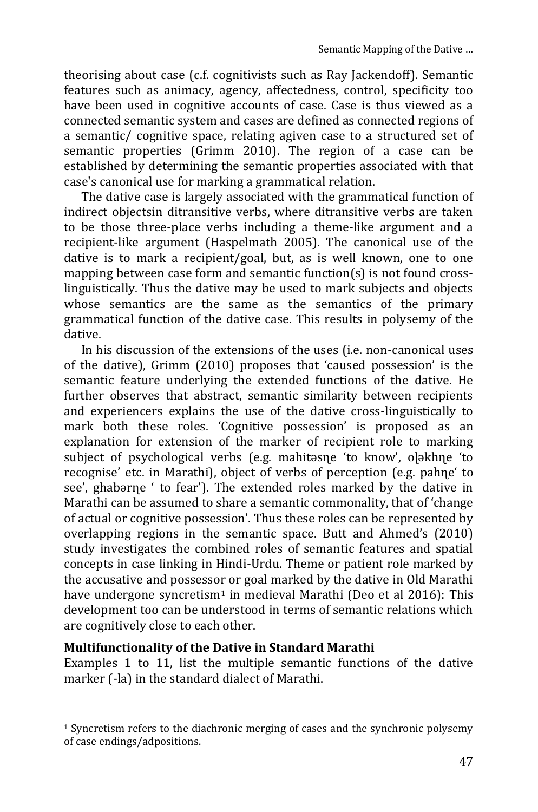theorising about case (c.f. cognitivists such as Ray Jackendoff). Semantic features such as animacy, agency, affectedness, control, specificity too have been used in cognitive accounts of case. Case is thus viewed as a connected semantic system and cases are defined as connected regions of a semantic/ cognitive space, relating agiven case to a structured set of semantic properties (Grimm 2010). The region of a case can be established by determining the semantic properties associated with that case's canonical use for marking a grammatical relation.

The dative case is largely associated with the grammatical function of indirect objectsin ditransitive verbs, where ditransitive verbs are taken to be those three-place verbs including a theme-like argument and a recipient-like argument (Haspelmath 2005). The canonical use of the dative is to mark a recipient/goal, but, as is well known, one to one mapping between case form and semantic function(s) is not found crosslinguistically. Thus the dative may be used to mark subjects and objects whose semantics are the same as the semantics of the primary grammatical function of the dative case. This results in polysemy of the dative.

In his discussion of the extensions of the uses (i.e. non-canonical uses of the dative), Grimm (2010) proposes that 'caused possession' is the semantic feature underlying the extended functions of the dative. He further observes that abstract, semantic similarity between recipients and experiencers explains the use of the dative cross-linguistically to mark both these roles. 'Cognitive possession' is proposed as an explanation for extension of the marker of recipient role to marking subject of psychological verbs (e.g. mahitǝsne 'to know', o]ǝkhŋe 'to recognise' etc. in Marathi), object of verbs of perception (e.g. pahɳe' to see', ghabarne ' to fear'). The extended roles marked by the dative in Marathi can be assumed to share a semantic commonality, that of 'change of actual or cognitive possession'. Thus these roles can be represented by overlapping regions in the semantic space. Butt and Ahmed's (2010) study investigates the combined roles of semantic features and spatial concepts in case linking in Hindi-Urdu. Theme or patient role marked by the accusative and possessor or goal marked by the dative in Old Marathi have undergone syncretism<sup>1</sup> in medieval Marathi (Deo et al 2016): This development too can be understood in terms of semantic relations which are cognitively close to each other.

## **Multifunctionality of the Dative in Standard Marathi**

 $\overline{a}$ 

Examples 1 to 11, list the multiple semantic functions of the dative marker (-la) in the standard dialect of Marathi.

 $1$  Syncretism refers to the diachronic merging of cases and the synchronic polysemy of case endings/adpositions.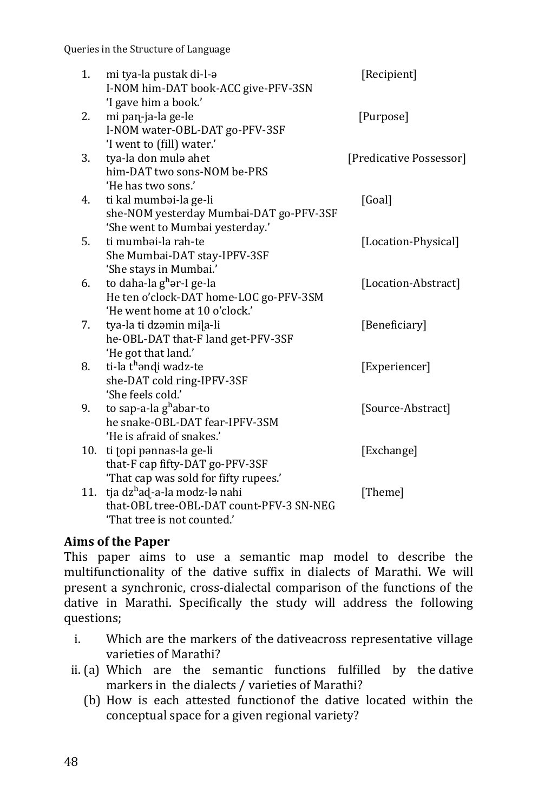| 1.  | mi tya-la pustak di-l-a                  | [Recipient]             |
|-----|------------------------------------------|-------------------------|
|     | I-NOM him-DAT book-ACC give-PFV-3SN      |                         |
|     | 'I gave him a book.'                     |                         |
| 2.  | mi pan-ja-la ge-le                       | [Purpose]               |
|     | I-NOM water-OBL-DAT go-PFV-3SF           |                         |
|     | 'I went to (fill) water.'                |                         |
| 3.  | tya-la don mula ahet                     | [Predicative Possessor] |
|     | him-DAT two sons-NOM be-PRS              |                         |
|     | 'He has two sons.'                       |                         |
| 4.  | ti kal mumbai-la ge-li                   | [Goal]                  |
|     | she-NOM yesterday Mumbai-DAT go-PFV-3SF  |                         |
|     | 'She went to Mumbai yesterday.'          |                         |
| 5.  | ti mumbai-la rah-te                      | [Location-Physical]     |
|     | She Mumbai-DAT stay-IPFV-3SF             |                         |
|     | 'She stays in Mumbai.'                   |                         |
| 6.  | to daha-la g <sup>h</sup> ar-I ge-la     | [Location-Abstract]     |
|     | He ten o'clock-DAT home-LOC go-PFV-3SM   |                         |
|     | 'He went home at 10 o'clock.'            |                         |
| 7.  | tya-la ti dzəmin mila-li                 | [Beneficiary]           |
|     | he-OBL-DAT that-F land get-PFV-3SF       |                         |
|     | 'He got that land.'                      |                         |
| 8.  | ti-la t <sup>h</sup> əndi wadz-te        | [Experiencer]           |
|     | she-DAT cold ring-IPFV-3SF               |                         |
|     | 'She feels cold.'                        |                         |
| 9.  | to sap-a-la g <sup>h</sup> abar-to       | [Source-Abstract]       |
|     | he snake-OBL-DAT fear-IPFV-3SM           |                         |
|     | 'He is afraid of snakes.'                |                         |
| 10. | ti topi pannas-la ge-li                  | [Exchange]              |
|     | that-F cap fifty-DAT go-PFV-3SF          |                         |
|     | 'That cap was sold for fifty rupees.'    |                         |
| 11. | tja dz <sup>h</sup> ad-a-la modz-lə nahi | [Theme]                 |
|     | that-OBL tree-OBL-DAT count-PFV-3 SN-NEG |                         |
|     | 'That tree is not counted.'              |                         |

# **Aims of the Paper**

This paper aims to use a semantic map model to describe the multifunctionality of the dative suffix in dialects of Marathi. We will present a synchronic, cross-dialectal comparison of the functions of the dative in Marathi. Specifically the study will address the following questions;

- i. Which are the markers of the dativeacross representative village varieties of Marathi?
- ii. (a) Which are the semantic functions fulfilled by the dative markers in the dialects / varieties of Marathi?
	- (b) How is each attested functionof the dative located within the conceptual space for a given regional variety?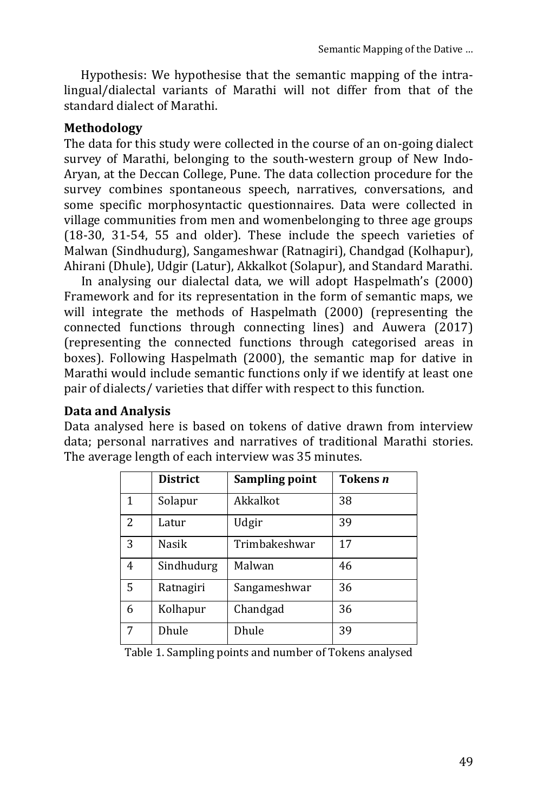Hypothesis: We hypothesise that the semantic mapping of the intralingual/dialectal variants of Marathi will not differ from that of the standard dialect of Marathi.

## **Methodology**

The data for this study were collected in the course of an on-going dialect survey of Marathi, belonging to the south-western group of New Indo-Aryan, at the Deccan College, Pune. The data collection procedure for the survey combines spontaneous speech, narratives, conversations, and some specific morphosyntactic questionnaires. Data were collected in village communities from men and womenbelonging to three age groups (18-30, 31-54, 55 and older). These include the speech varieties of Malwan (Sindhudurg), Sangameshwar (Ratnagiri), Chandgad (Kolhapur), Ahirani (Dhule), Udgir (Latur), Akkalkot (Solapur), and Standard Marathi.

In analysing our dialectal data, we will adopt Haspelmath's (2000) Framework and for its representation in the form of semantic maps, we will integrate the methods of Haspelmath (2000) (representing the connected functions through connecting lines) and Auwera (2017) (representing the connected functions through categorised areas in boxes). Following Haspelmath (2000), the semantic map for dative in Marathi would include semantic functions only if we identify at least one pair of dialects/ varieties that differ with respect to this function.

## **Data and Analysis**

Data analysed here is based on tokens of dative drawn from interview data; personal narratives and narratives of traditional Marathi stories. The average length of each interview was 35 minutes.

|                | <b>District</b> | Sampling point | Tokens n |
|----------------|-----------------|----------------|----------|
| 1              | Solapur         | Akkalkot       | 38       |
| $\overline{2}$ | Latur           | Udgir          | 39       |
| 3              | Nasik           | Trimbakeshwar  | 17       |
| 4              | Sindhudurg      | Malwan         | 46       |
| 5              | Ratnagiri       | Sangameshwar   | 36       |
| 6              | Kolhapur        | Chandgad       | 36       |
| 7              | Dhule           | Dhule          | 39       |

Table 1. Sampling points and number of Tokens analysed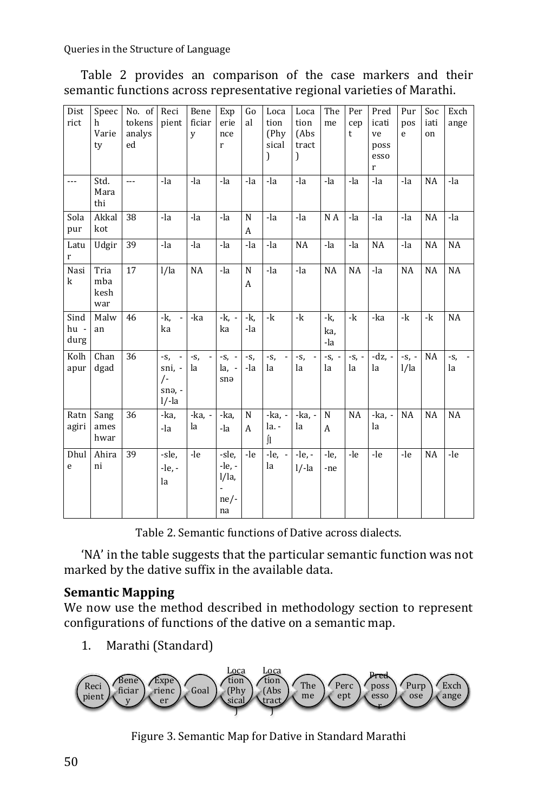Table 2 provides an comparison of the case markers and their semantic functions across representative regional varieties of Marathi.

| Dist<br>rict         | Speec<br>h<br>Varie<br>ty  | No. of<br>tokens<br>analys<br>ed | Reci<br>pient                                                                | Bene<br>ficiar<br>y | Exp<br>erie<br>nce<br>r                | Go<br>al          | Loca<br>tion<br>(Phv)<br>sical<br>) | Loca<br>tion<br>(Abs<br>tract<br>)      | The<br>me         | Per<br>cep<br>$\mathsf{t}$ | Pred<br>icati<br>ve<br>poss<br>esso<br>$\mathbf{r}$ | Pur<br>pos<br>e | Soc<br>iati<br>on | Exch<br>ange   |
|----------------------|----------------------------|----------------------------------|------------------------------------------------------------------------------|---------------------|----------------------------------------|-------------------|-------------------------------------|-----------------------------------------|-------------------|----------------------------|-----------------------------------------------------|-----------------|-------------------|----------------|
| ---                  | Std.<br>Mara<br>thi        | ---                              | -la                                                                          | -la                 | -la                                    | -la               | -la                                 | -la                                     | -la               | -la                        | -la                                                 | -la             | <b>NA</b>         | -la            |
| Sola<br>pur          | Akkal<br>kot               | 38                               | -la                                                                          | -la                 | -la                                    | $\mathbf N$<br>A  | -la                                 | -la                                     | N A               | -la                        | -la                                                 | -la             | NA                | -la            |
| Latu<br>r            | Udgir                      | 39                               | -la                                                                          | -la                 | -la                                    | -la               | -la                                 | <b>NA</b>                               | -la               | -la                        | NA                                                  | -la             | NA                | NA             |
| Nasi<br>k            | Tria<br>mba<br>kesh<br>war | 17                               | 1/1a                                                                         | NA                  | -la                                    | ${\bf N}$<br>A    | -la                                 | -la                                     | NA                | NA                         | -la                                                 | NA              | NA                | NA             |
| Sind<br>hu -<br>durg | Malw<br>an                 | 46                               | $-k$ ,<br>÷,<br>ka                                                           | -ka                 | $-k$ .<br>ka                           | $-k$<br>-la       | $-k$                                | -k                                      | -k,<br>ka,<br>-la | $-k$                       | $-ka$                                               | $-k$            | -k                | NA             |
| Kolh<br>apur         | Chan<br>dgad               | 36                               | $\overline{\phantom{a}}$<br>$-S_{1}$<br>sni, -<br>$/$ -<br>snə, -<br>$1/-1a$ | $-S,$<br>la         | $-S, -$<br>$la. -$<br>snə              | $-S,$<br>-la      | $-S,$<br>la                         | $-S,$<br>$\overline{\phantom{a}}$<br>la | $-S, -$<br>la     | $-S1$ -<br>la              | $-dz$ , -<br>la                                     | $-S, -$<br>1/1a | NA                | $-S_{1}$<br>la |
| Ratn<br>agiri        | Sang<br>ames<br>hwar       | 36                               | -ka.<br>-la                                                                  | -ka, -<br>la        | -ka,<br>-la                            | N<br>$\mathbf{A}$ | $-ka - 1$<br>la. -<br>ſı            | -ka, -<br>la                            | N<br>A            | NA                         | $-ka$ . $-$<br>la                                   | NA              | NA                | NA             |
| Dhul<br>e            | Ahira<br>ni                | 39                               | -sle.<br>$-le, -$<br>la                                                      | $-le$               | -sle.<br>-le, -<br>l/la,<br>ne/-<br>na | -le               | $-le. - 1$<br>la                    | $-le. -$<br>$1/-a$                      | $-le.$<br>-ne     | -le                        | -le                                                 | -le             | <b>NA</b>         | -le            |

Table 2. Semantic functions of Dative across dialects.

'NA' in the table suggests that the particular semantic function was not marked by the dative suffix in the available data.

## **Semantic Mapping**

We now use the method described in methodology section to represent configurations of functions of the dative on a semantic map.

1. Marathi (Standard)



Figure 3. Semantic Map for Dative in Standard Marathi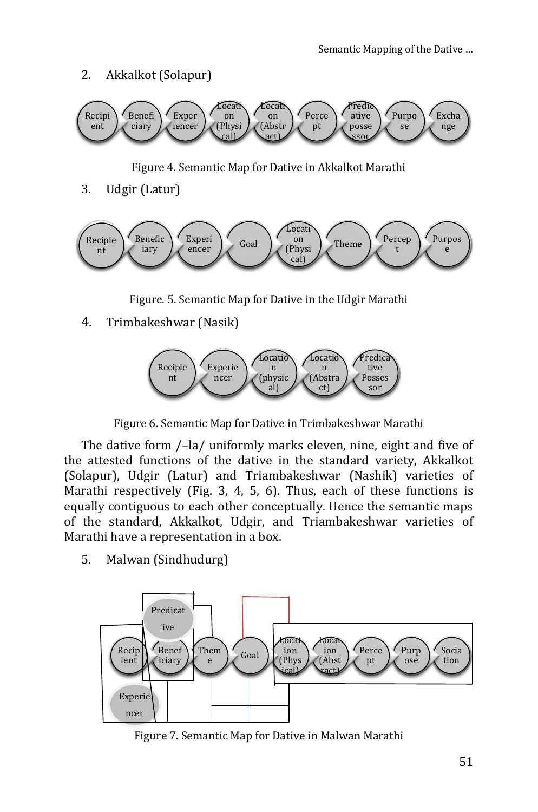## 2. Akkalkot (Solapur)



Figure 4. Semantic Map for Dative in Akkalkot Marathi

3. Udgir (Latur)



Figure. 5. Semantic Map for Dative in the Udgir Marathi

4. Trimbakeshwar (Nasik)



Figure 6. Semantic Map for Dative in Trimbakeshwar Marathi

The dative form /–la/ uniformly marks eleven, nine, eight and five of the attested functions of the dative in the standard variety, Akkalkot (Solapur), Udgir (Latur) and Triambakeshwar (Nashik) varieties of Marathi respectively (Fig. 3, 4, 5, 6). Thus, each of these functions is equally contiguous to each other conceptually. Hence the semantic maps of the standard, Akkalkot, Udgir, and Triambakeshwar varieties of Marathi have a representation in a box.

5. Malwan (Sindhudurg)



Figure 7. Semantic Map for Dative in Malwan Marathi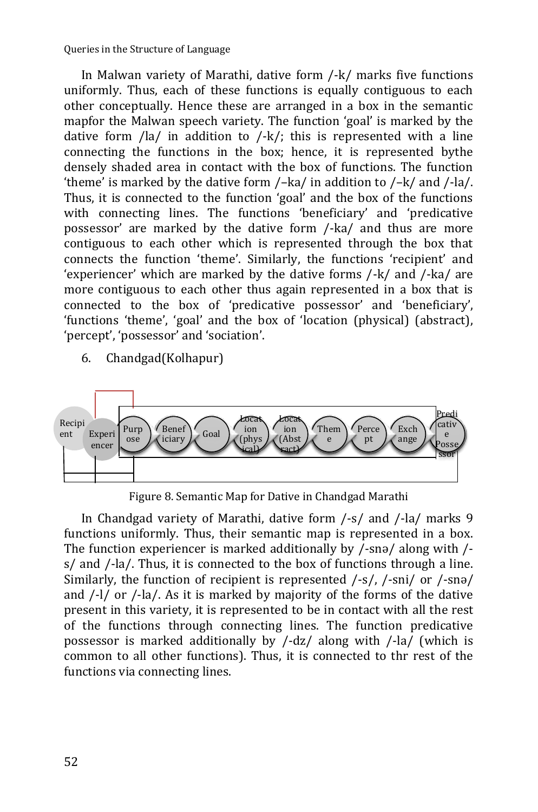Queries in the Structure of Language

In Malwan variety of Marathi, dative form /-k/ marks five functions uniformly. Thus, each of these functions is equally contiguous to each other conceptually. Hence these are arranged in a box in the semantic mapfor the Malwan speech variety. The function 'goal' is marked by the dative form /la/ in addition to /-k/; this is represented with a line connecting the functions in the box; hence, it is represented bythe densely shaded area in contact with the box of functions. The function 'theme' is marked by the dative form /–ka/ in addition to /–k/ and /-la/. Thus, it is connected to the function 'goal' and the box of the functions with connecting lines. The functions 'beneficiary' and 'predicative possessor' are marked by the dative form /-ka/ and thus are more contiguous to each other which is represented through the box that connects the function 'theme'. Similarly, the functions 'recipient' and 'experiencer' which are marked by the dative forms /-k/ and /-ka/ are more contiguous to each other thus again represented in a box that is connected to the box of 'predicative possessor' and 'beneficiary', 'functions 'theme', 'goal' and the box of 'location (physical) (abstract), 'percept', 'possessor' and 'sociation'.

6. Chandgad(Kolhapur)



Figure 8. Semantic Map for Dative in Chandgad Marathi

In Chandgad variety of Marathi, dative form /-s/ and /-la/ marks 9 functions uniformly. Thus, their semantic map is represented in a box. The function experiencer is marked additionally by /-snə/ along with / s/ and /-la/. Thus, it is connected to the box of functions through a line. Similarly, the function of recipient is represented /-s/, /-sni/ or /-snə/ and /-l/ or /-la/. As it is marked by majority of the forms of the dative present in this variety, it is represented to be in contact with all the rest of the functions through connecting lines. The function predicative possessor is marked additionally by /-dz/ along with /-la/ (which is common to all other functions). Thus, it is connected to thr rest of the functions via connecting lines.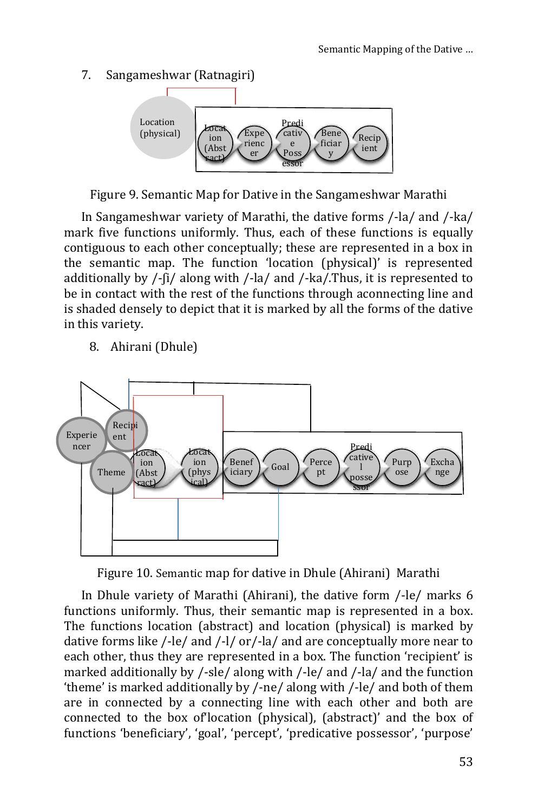#### $7<sup>1</sup>$ Sangameshwar (Ratnagiri)



Figure 9. Semantic Map for Dative in the Sangameshwar Marathi

In Sangameshwar variety of Marathi, the dative forms /-la/ and /-ka/ mark five functions uniformly. Thus, each of these functions is equally contiguous to each other conceptually; these are represented in a box in the semantic map. The function 'location (physical)' is represented additionally by  $\frac{1}{1}$  along with  $\frac{1}{2}$  and  $\frac{1}{2}$  ka $\frac{1}{2}$ . Thus, it is represented to be in contact with the rest of the functions through aconnecting line and is shaded densely to depict that it is marked by all the forms of the dative in this variety.

8. Ahirani (Dhule)



Figure 10. Semantic map for dative in Dhule (Ahirani) Marathi

In Dhule variety of Marathi (Ahirani), the dative form /-le/ marks 6 functions uniformly. Thus, their semantic map is represented in a box. The functions location (abstract) and location (physical) is marked by dative forms like /-le/ and /-l/ or/-la/ and are conceptually more near to each other, thus they are represented in a box. The function 'recipient' is marked additionally by  $\frac{1}{2}$ -sle along with  $\frac{1}{2}$ -le and  $\frac{1}{2}$  and the function 'theme' is marked additionally by /-ne/ along with /-le/ and both of them are in connected by a connecting line with each other and both are connected to the box of location (physical), (abstract)' and the box of functions 'beneficiary', 'goal', 'percept', 'predicative possessor', 'purpose'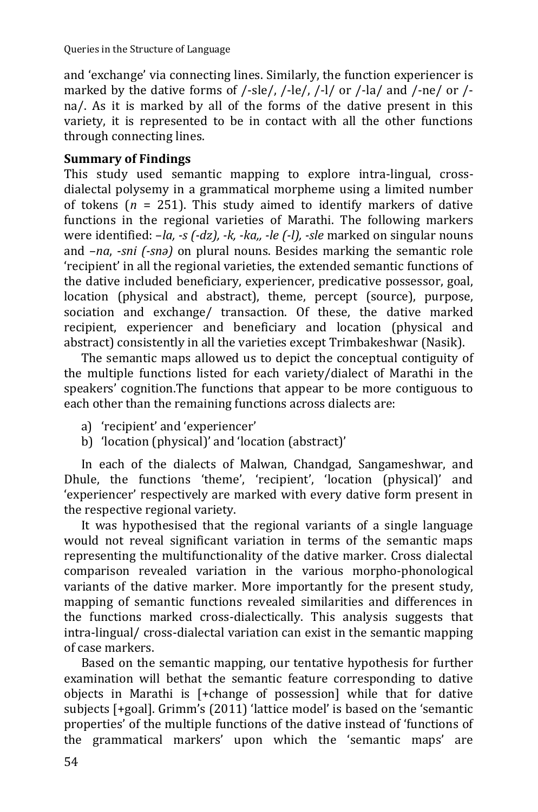and 'exchange' via connecting lines. Similarly, the function experiencer is marked by the dative forms of /-sle/, /-le/, /-l/ or /-la/ and /-ne/ or /na/. As it is marked by all of the forms of the dative present in this variety, it is represented to be in contact with all the other functions through connecting lines.

# **Summary of Findings**

This study used semantic mapping to explore intra-lingual, crossdialectal polysemy in a grammatical morpheme using a limited number of tokens  $(n = 251)$ . This study aimed to identify markers of dative functions in the regional varieties of Marathi. The following markers were identified: –*la, -s (-dz), -k, -ka,, -le (-l), -sle* marked on singular nouns and –*na*, -*sni (-snǝ)* on plural nouns. Besides marking the semantic role 'recipient' in all the regional varieties, the extended semantic functions of the dative included beneficiary, experiencer, predicative possessor, goal, location (physical and abstract), theme, percept (source), purpose, sociation and exchange/ transaction. Of these, the dative marked recipient, experiencer and beneficiary and location (physical and abstract) consistently in all the varieties except Trimbakeshwar (Nasik).

The semantic maps allowed us to depict the conceptual contiguity of the multiple functions listed for each variety/dialect of Marathi in the speakers' cognition.The functions that appear to be more contiguous to each other than the remaining functions across dialects are:

- a) 'recipient' and 'experiencer'
- b) 'location (physical)' and 'location (abstract)'

In each of the dialects of Malwan, Chandgad, Sangameshwar, and Dhule, the functions 'theme', 'recipient', 'location (physical)' and 'experiencer' respectively are marked with every dative form present in the respective regional variety.

It was hypothesised that the regional variants of a single language would not reveal significant variation in terms of the semantic maps representing the multifunctionality of the dative marker. Cross dialectal comparison revealed variation in the various morpho-phonological variants of the dative marker. More importantly for the present study, mapping of semantic functions revealed similarities and differences in the functions marked cross-dialectically. This analysis suggests that intra-lingual/ cross-dialectal variation can exist in the semantic mapping of case markers.

Based on the semantic mapping, our tentative hypothesis for further examination will bethat the semantic feature corresponding to dative objects in Marathi is [+change of possession] while that for dative subjects [+goal]. Grimm's (2011) 'lattice model' is based on the 'semantic properties' of the multiple functions of the dative instead of 'functions of the grammatical markers' upon which the 'semantic maps' are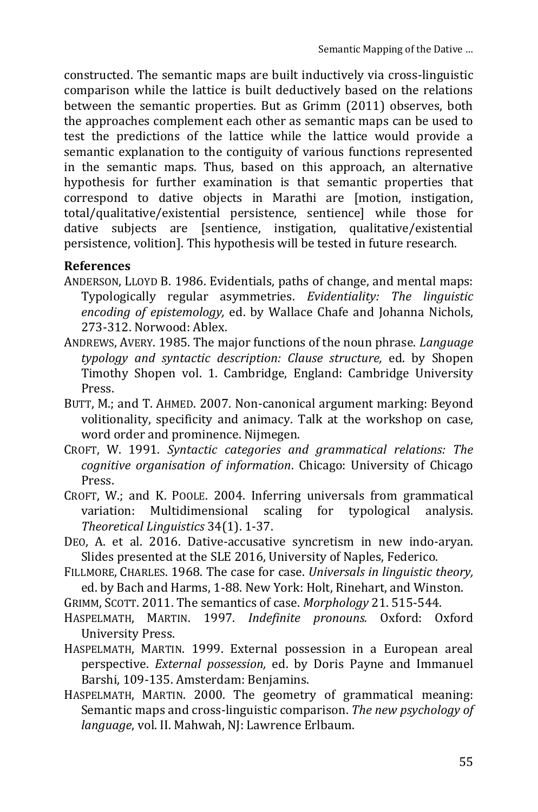constructed. The semantic maps are built inductively via cross-linguistic comparison while the lattice is built deductively based on the relations between the semantic properties. But as Grimm (2011) observes, both the approaches complement each other as semantic maps can be used to test the predictions of the lattice while the lattice would provide a semantic explanation to the contiguity of various functions represented in the semantic maps. Thus, based on this approach, an alternative hypothesis for further examination is that semantic properties that correspond to dative objects in Marathi are [motion, instigation, total/qualitative/existential persistence, sentience] while those for dative subjects are [sentience, instigation, qualitative/existential persistence, volition]. This hypothesis will be tested in future research.

## **References**

- ANDERSON, LLOYD B. 1986. Evidentials, paths of change, and mental maps: Typologically regular asymmetries. *Evidentiality: The linguistic encoding of epistemology,* ed. by Wallace Chafe and Johanna Nichols, 273-312. Norwood: Ablex.
- ANDREWS, AVERY. 1985. The major functions of the noun phrase. *Language typology and syntactic description: Clause structure,* ed. by Shopen Timothy Shopen vol. 1. Cambridge, England: Cambridge University Press.
- BUTT, M.; and T. AHMED. 2007. Non-canonical argument marking: Beyond volitionality, specificity and animacy. Talk at the workshop on case, word order and prominence. Nijmegen.
- CROFT, W. 1991. *Syntactic categories and grammatical relations: The cognitive organisation of information*. Chicago: University of Chicago Press.
- CROFT, W.; and K. POOLE. 2004. Inferring universals from grammatical variation: Multidimensional scaling for typological analysis. *Theoretical Linguistics* 34(1). 1-37.
- DEO, A. et al. 2016. Dative-accusative syncretism in new indo-aryan. Slides presented at the SLE 2016, University of Naples, Federico.
- FILLMORE, CHARLES. 1968. The case for case. *Universals in linguistic theory,*  ed. by Bach and Harms, 1-88. New York: Holt, Rinehart, and Winston.
- GRIMM, SCOTT. 2011. The semantics of case. *Morphology* 21. 515-544.
- HASPELMATH, MARTIN. 1997. *Indefinite pronouns.* Oxford: Oxford University Press.
- HASPELMATH, MARTIN. 1999. External possession in a European areal perspective. *External possession,* ed. by Doris Payne and Immanuel Barshi, 109-135. Amsterdam: Benjamins.
- HASPELMATH, MARTIN. 2000. The geometry of grammatical meaning: Semantic maps and cross-linguistic comparison. *The new psychology of language*, vol. II. Mahwah, NJ: Lawrence Erlbaum.